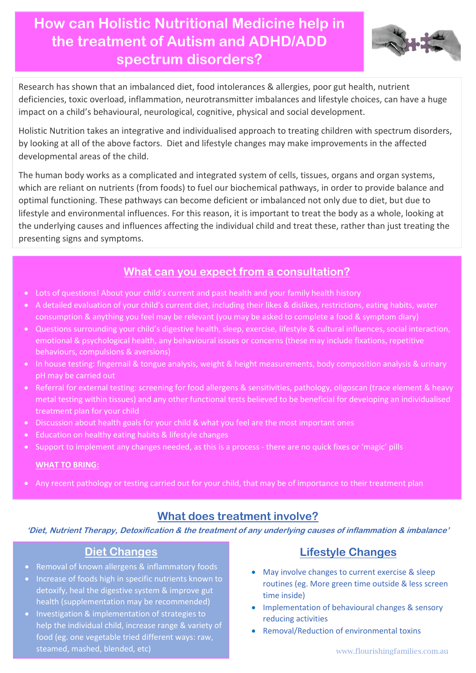**How can Holistic Nutritional Medicine help in the treatment of Autism and ADHD/ADD spectrum disorders?**



Research has shown that an imbalanced diet, food intolerances & allergies, poor gut health, nutrient deficiencies, toxic overload, inflammation, neurotransmitter imbalances and lifestyle choices, can have a huge impact on a child's behavioural, neurological, cognitive, physical and social development.

Holistic Nutrition takes an integrative and individualised approach to treating children with spectrum disorders, by looking at all of the above factors. Diet and lifestyle changes may make improvements in the affected developmental areas of the child.

The human body works as a complicated and integrated system of cells, tissues, organs and organ systems, which are reliant on nutrients (from foods) to fuel our biochemical pathways, in order to provide balance and optimal functioning. These pathways can become deficient or imbalanced not only due to diet, but due to lifestyle and environmental influences. For this reason, it is important to treat the body as a whole, looking at the underlying causes and influences affecting the individual child and treat these, rather than just treating the presenting signs and symptoms.

## **What can you expect from a consultation?**

- Lots of questions! About your child's current and past health and your family health history
- A detailed evaluation of your child's current diet, including their likes & dislikes, restrictions, eating habits, water consumption & anything you feel may be relevant (you may be asked to complete a food & symptom diary)
- Questions surrounding your child's digestive health, sleep, exercise, lifestyle & cultural influences, social interaction, emotional & psychological health, any behavioural issues or concerns (these may include fixations, repetitive behaviours, compulsions & aversions)
- In house testing: fingernail & tongue analysis, weight & height measurements, body composition analysis & urinary pH may be carried out
- Referral for external testing: screening for food allergens & sensitivities, pathology, oligoscan (trace element & heavy metal testing within tissues) and any other functional tests believed to be beneficial for developing an individualised treatment plan for your child
- Discussion about health goals for your child & what you feel are the most important ones
- Education on healthy eating habits & lifestyle changes
- Support to implement any changes needed, as this is a process there are no quick fixes or 'magic' pills

#### **WHAT TO BRING:**

• Any recent pathology or testing carried out for your child, that may be of importance to their treatment plan

## **What does treatment involve?**

**'Diet, Nutrient Therapy, Detoxification & the treatment of any underlying causes of inflammation & imbalance'**

## **Diet Changes**

- Removal of known allergens & inflammatory foods
- Increase of foods high in specific nutrients known to detoxify, heal the digestive system & improve gut health (supplementation may be recommended)
- Investigation & implementation of strategies to help the individual child, increase range & variety of food (eg. one vegetable tried different ways: raw, steamed, mashed, blended, etc)

# **Lifestyle Changes**

- May involve changes to current exercise & sleep routines (eg. More green time outside & less screen time inside)
- Implementation of behavioural changes & sensory reducing activities
- Removal/Reduction of environmental toxins